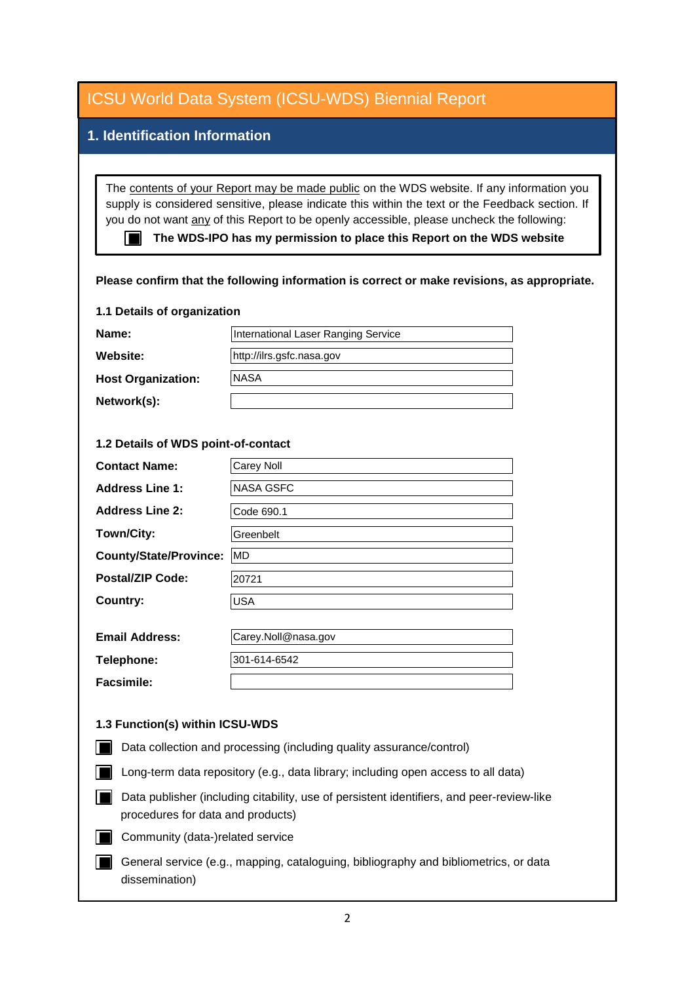| <b>ICSU World Data System (ICSU-WDS) Biennial Report</b>                                                                                                                                                                                                                                                                                                                                                                                                                                          |                                     |
|---------------------------------------------------------------------------------------------------------------------------------------------------------------------------------------------------------------------------------------------------------------------------------------------------------------------------------------------------------------------------------------------------------------------------------------------------------------------------------------------------|-------------------------------------|
| 1. Identification Information                                                                                                                                                                                                                                                                                                                                                                                                                                                                     |                                     |
|                                                                                                                                                                                                                                                                                                                                                                                                                                                                                                   |                                     |
| The contents of your Report may be made public on the WDS website. If any information you<br>supply is considered sensitive, please indicate this within the text or the Feedback section. If<br>you do not want any of this Report to be openly accessible, please uncheck the following:<br>The WDS-IPO has my permission to place this Report on the WDS website<br>Please confirm that the following information is correct or make revisions, as appropriate.<br>1.1 Details of organization |                                     |
| Name:                                                                                                                                                                                                                                                                                                                                                                                                                                                                                             | International Laser Ranging Service |
| <b>Website:</b>                                                                                                                                                                                                                                                                                                                                                                                                                                                                                   | http://ilrs.gsfc.nasa.gov           |
| <b>Host Organization:</b>                                                                                                                                                                                                                                                                                                                                                                                                                                                                         | <b>NASA</b>                         |
| Network(s):                                                                                                                                                                                                                                                                                                                                                                                                                                                                                       |                                     |
|                                                                                                                                                                                                                                                                                                                                                                                                                                                                                                   |                                     |
| 1.2 Details of WDS point-of-contact                                                                                                                                                                                                                                                                                                                                                                                                                                                               |                                     |
| <b>Contact Name:</b>                                                                                                                                                                                                                                                                                                                                                                                                                                                                              | Carey Noll                          |
| <b>Address Line 1:</b>                                                                                                                                                                                                                                                                                                                                                                                                                                                                            | NASA GSFC                           |
| <b>Address Line 2:</b>                                                                                                                                                                                                                                                                                                                                                                                                                                                                            | Code 690.1                          |
| Town/City:                                                                                                                                                                                                                                                                                                                                                                                                                                                                                        | Greenbelt                           |
| <b>County/State/Province:</b>                                                                                                                                                                                                                                                                                                                                                                                                                                                                     | <b>MD</b>                           |
| <b>Postal/ZIP Code:</b>                                                                                                                                                                                                                                                                                                                                                                                                                                                                           | 20721                               |
| <b>Country:</b>                                                                                                                                                                                                                                                                                                                                                                                                                                                                                   | USA                                 |
| <b>Email Address:</b>                                                                                                                                                                                                                                                                                                                                                                                                                                                                             | Carey.Noll@nasa.gov                 |
| Telephone:                                                                                                                                                                                                                                                                                                                                                                                                                                                                                        | 301-614-6542                        |
| <b>Facsimile:</b>                                                                                                                                                                                                                                                                                                                                                                                                                                                                                 |                                     |
| 1.3 Function(s) within ICSU-WDS                                                                                                                                                                                                                                                                                                                                                                                                                                                                   |                                     |
| Data collection and processing (including quality assurance/control)                                                                                                                                                                                                                                                                                                                                                                                                                              |                                     |
| Long-term data repository (e.g., data library; including open access to all data)                                                                                                                                                                                                                                                                                                                                                                                                                 |                                     |
| Data publisher (including citability, use of persistent identifiers, and peer-review-like<br>procedures for data and products)                                                                                                                                                                                                                                                                                                                                                                    |                                     |
| Community (data-)related service                                                                                                                                                                                                                                                                                                                                                                                                                                                                  |                                     |
| General service (e.g., mapping, cataloguing, bibliography and bibliometrics, or data<br>dissemination)                                                                                                                                                                                                                                                                                                                                                                                            |                                     |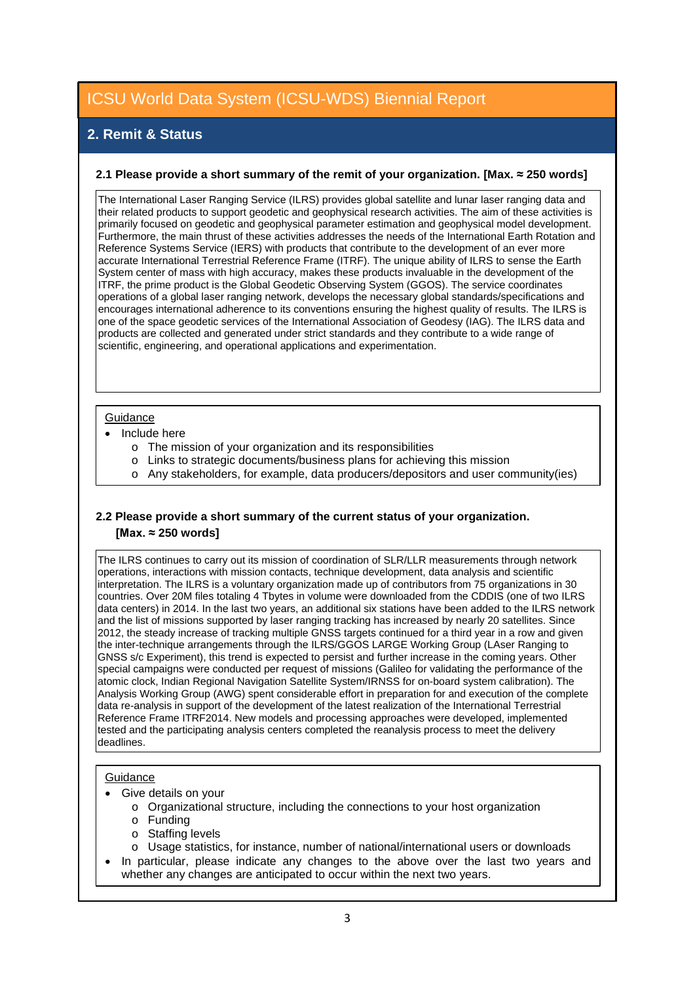# **2. Remit & Status**

#### **2.1 Please provide a short summary of the remit of your organization. [Max. ≈ 250 words]**

The International Laser Ranging Service (ILRS) provides global satellite and lunar laser ranging data and their related products to support geodetic and geophysical research activities. The aim of these activities is primarily focused on geodetic and geophysical parameter estimation and geophysical model development. Furthermore, the main thrust of these activities addresses the needs of the International Earth Rotation and Reference Systems Service (IERS) with products that contribute to the development of an ever more accurate International Terrestrial Reference Frame (ITRF). The unique ability of ILRS to sense the Earth System center of mass with high accuracy, makes these products invaluable in the development of the ITRF, the prime product is the Global Geodetic Observing System (GGOS). The service coordinates operations of a global laser ranging network, develops the necessary global standards/specifications and encourages international adherence to its conventions ensuring the highest quality of results. The ILRS is one of the space geodetic services of the International Association of Geodesy (IAG). The ILRS data and products are collected and generated under strict standards and they contribute to a wide range of scientific, engineering, and operational applications and experimentation.

#### **Guidance**

- Include here
	- o The mission of your organization and its responsibilities
	- o Links to strategic documents/business plans for achieving this mission
	- o Any stakeholders, for example, data producers/depositors and user community(ies)

### **2.2 Please provide a short summary of the current status of your organization. [Max. ≈ 250 words]**

The ILRS continues to carry out its mission of coordination of SLR/LLR measurements through network operations, interactions with mission contacts, technique development, data analysis and scientific interpretation. The ILRS is a voluntary organization made up of contributors from 75 organizations in 30 countries. Over 20M files totaling 4 Tbytes in volume were downloaded from the CDDIS (one of two ILRS data centers) in 2014. In the last two years, an additional six stations have been added to the ILRS network and the list of missions supported by laser ranging tracking has increased by nearly 20 satellites. Since 2012, the steady increase of tracking multiple GNSS targets continued for a third year in a row and given the inter-technique arrangements through the ILRS/GGOS LARGE Working Group (LAser Ranging to GNSS s/c Experiment), this trend is expected to persist and further increase in the coming years. Other special campaigns were conducted per request of missions (Galileo for validating the performance of the atomic clock, Indian Regional Navigation Satellite System/IRNSS for on-board system calibration). The Analysis Working Group (AWG) spent considerable effort in preparation for and execution of the complete data re-analysis in support of the development of the latest realization of the International Terrestrial Reference Frame ITRF2014. New models and processing approaches were developed, implemented tested and the participating analysis centers completed the reanalysis process to meet the delivery deadlines.

#### **Guidance**

- Give details on your
	- o Organizational structure, including the connections to your host organization
	- o Funding
	- o Staffing levels
	- o Usage statistics, for instance, number of national/international users or downloads
- In particular, please indicate any changes to the above over the last two years and whether any changes are anticipated to occur within the next two years.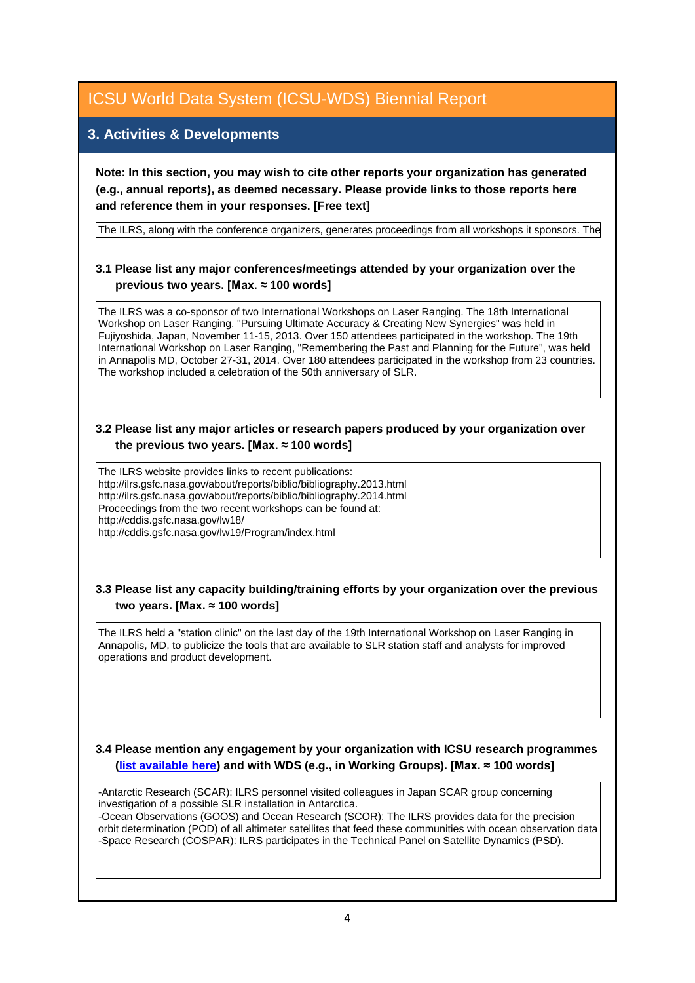## **3. Activities & Developments**

**Note: In this section, you may wish to cite other reports your organization has generated (e.g., annual reports), as deemed necessary. Please provide links to those reports here and reference them in your responses. [Free text]**

The ILRS, along with the conference organizers, generates proceedings from all workshops it sponsors. The

### **3.1 Please list any major conferences/meetings attended by your organization over the previous two years. [Max. ≈ 100 words]**

The ILRS was a co-sponsor of two International Workshops on Laser Ranging. The 18th International Workshop on Laser Ranging, "Pursuing Ultimate Accuracy & Creating New Synergies" was held in Fujiyoshida, Japan, November 11-15, 2013. Over 150 attendees participated in the workshop. The 19th International Workshop on Laser Ranging, "Remembering the Past and Planning for the Future", was held in Annapolis MD, October 27-31, 2014. Over 180 attendees participated in the workshop from 23 countries. The workshop included a celebration of the 50th anniversary of SLR.

#### **3.2 Please list any major articles or research papers produced by your organization over the previous two years. [Max. ≈ 100 words]**

The ILRS website provides links to recent publications: http://ilrs.gsfc.nasa.gov/about/reports/biblio/bibliography.2013.html http://ilrs.gsfc.nasa.gov/about/reports/biblio/bibliography.2014.html Proceedings from the two recent workshops can be found at: http://cddis.gsfc.nasa.gov/lw18/ http://cddis.gsfc.nasa.gov/lw19/Program/index.html

### **3.3 Please list any capacity building/training efforts by your organization over the previous two years. [Max. ≈ 100 words]**

The ILRS held a "station clinic" on the last day of the 19th International Workshop on Laser Ranging in Annapolis, MD, to publicize the tools that are available to SLR station staff and analysts for improved operations and product development.

#### **3.4 Please mention any engagement by your organization with ICSU research programmes [\(list available here\)](http://www.icsu.org/what-we-do/@@category_search?path=/icsu/what-we-do&Subject:list=International%20Research%20Collaboration) and with WDS (e.g., in Working Groups). [Max. ≈ 100 words]**

-Antarctic Research (SCAR): ILRS personnel visited colleagues in Japan SCAR group concerning investigation of a possible SLR installation in Antarctica.

-Ocean Observations (GOOS) and Ocean Research (SCOR): The ILRS provides data for the precision orbit determination (POD) of all altimeter satellites that feed these communities with ocean observation data -Space Research (COSPAR): ILRS participates in the Technical Panel on Satellite Dynamics (PSD).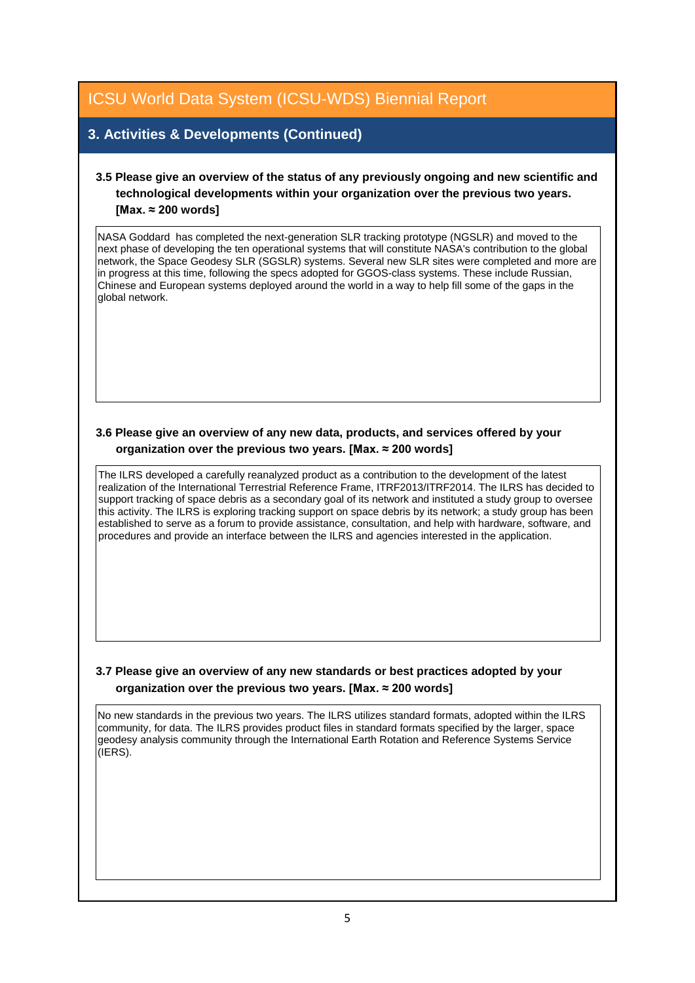## **3. Activities & Developments (Continued)**

## **3.5 Please give an overview of the status of any previously ongoing and new scientific and technological developments within your organization over the previous two years. [Max. ≈ 200 words]**

NASA Goddard has completed the next-generation SLR tracking prototype (NGSLR) and moved to the next phase of developing the ten operational systems that will constitute NASA's contribution to the global network, the Space Geodesy SLR (SGSLR) systems. Several new SLR sites were completed and more are in progress at this time, following the specs adopted for GGOS-class systems. These include Russian, Chinese and European systems deployed around the world in a way to help fill some of the gaps in the global network.

### **3.6 Please give an overview of any new data, products, and services offered by your organization over the previous two years. [Max. ≈ 200 words]**

The ILRS developed a carefully reanalyzed product as a contribution to the development of the latest realization of the International Terrestrial Reference Frame, ITRF2013/ITRF2014. The ILRS has decided to support tracking of space debris as a secondary goal of its network and instituted a study group to oversee this activity. The ILRS is exploring tracking support on space debris by its network; a study group has been established to serve as a forum to provide assistance, consultation, and help with hardware, software, and procedures and provide an interface between the ILRS and agencies interested in the application.

### **3.7 Please give an overview of any new standards or best practices adopted by your organization over the previous two years. [Max. ≈ 200 words]**

No new standards in the previous two years. The ILRS utilizes standard formats, adopted within the ILRS community, for data. The ILRS provides product files in standard formats specified by the larger, space geodesy analysis community through the International Earth Rotation and Reference Systems Service (IERS).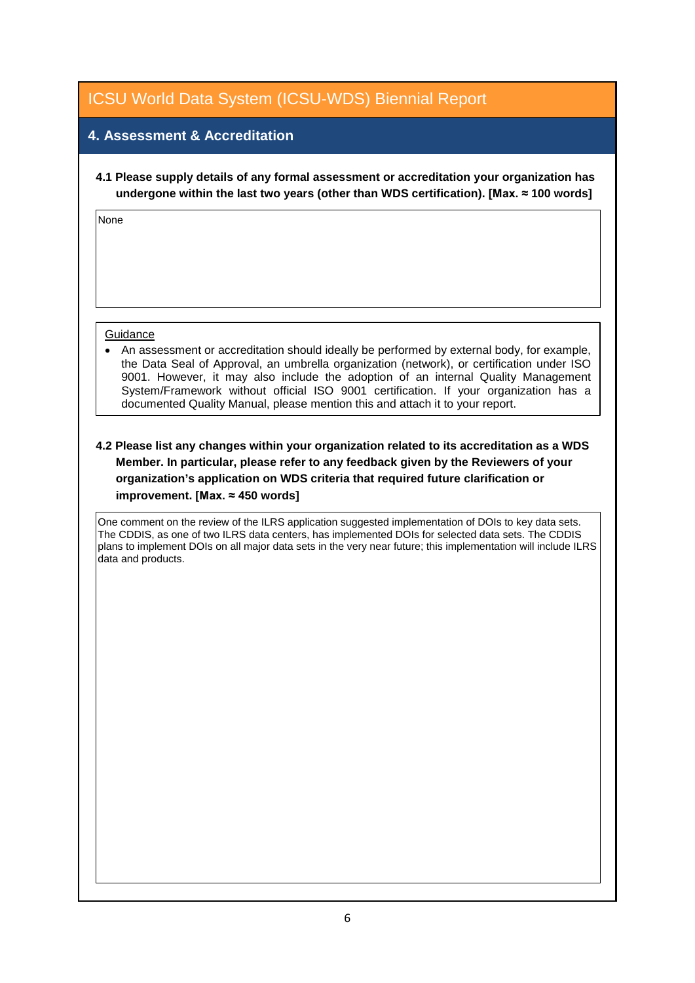# **4. Assessment & Accreditation**

**4.1 Please supply details of any formal assessment or accreditation your organization has undergone within the last two years (other than WDS certification). [Max. ≈ 100 words]**

None

#### **Guidance**

• An assessment or accreditation should ideally be performed by external body, for example, the Data Seal of Approval, an umbrella organization (network), or certification under ISO 9001. However, it may also include the adoption of an internal Quality Management System/Framework without official ISO 9001 certification. If your organization has a documented Quality Manual, please mention this and attach it to your report.

### **4.2 Please list any changes within your organization related to its accreditation as a WDS Member. In particular, please refer to any feedback given by the Reviewers of your organization's application on WDS criteria that required future clarification or improvement. [Max. ≈ 450 words]**

One comment on the review of the ILRS application suggested implementation of DOIs to key data sets. The CDDIS, as one of two ILRS data centers, has implemented DOIs for selected data sets. The CDDIS plans to implement DOIs on all major data sets in the very near future; this implementation will include ILRS data and products.